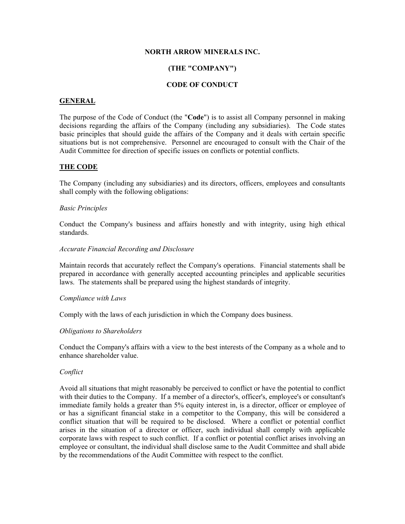### **NORTH ARROW MINERALS INC.**

# **(THE "COMPANY")**

# **CODE OF CONDUCT**

### **GENERAL**

The purpose of the Code of Conduct (the "**Code**") is to assist all Company personnel in making decisions regarding the affairs of the Company (including any subsidiaries). The Code states basic principles that should guide the affairs of the Company and it deals with certain specific situations but is not comprehensive. Personnel are encouraged to consult with the Chair of the Audit Committee for direction of specific issues on conflicts or potential conflicts.

## **THE CODE**

The Company (including any subsidiaries) and its directors, officers, employees and consultants shall comply with the following obligations:

#### *Basic Principles*

Conduct the Company's business and affairs honestly and with integrity, using high ethical standards.

#### *Accurate Financial Recording and Disclosure*

Maintain records that accurately reflect the Company's operations. Financial statements shall be prepared in accordance with generally accepted accounting principles and applicable securities laws. The statements shall be prepared using the highest standards of integrity.

#### *Compliance with Laws*

Comply with the laws of each jurisdiction in which the Company does business.

#### *Obligations to Shareholders*

Conduct the Company's affairs with a view to the best interests of the Company as a whole and to enhance shareholder value.

## *Conflict*

Avoid all situations that might reasonably be perceived to conflict or have the potential to conflict with their duties to the Company. If a member of a director's, officer's, employee's or consultant's immediate family holds a greater than 5% equity interest in, is a director, officer or employee of or has a significant financial stake in a competitor to the Company, this will be considered a conflict situation that will be required to be disclosed. Where a conflict or potential conflict arises in the situation of a director or officer, such individual shall comply with applicable corporate laws with respect to such conflict. If a conflict or potential conflict arises involving an employee or consultant, the individual shall disclose same to the Audit Committee and shall abide by the recommendations of the Audit Committee with respect to the conflict.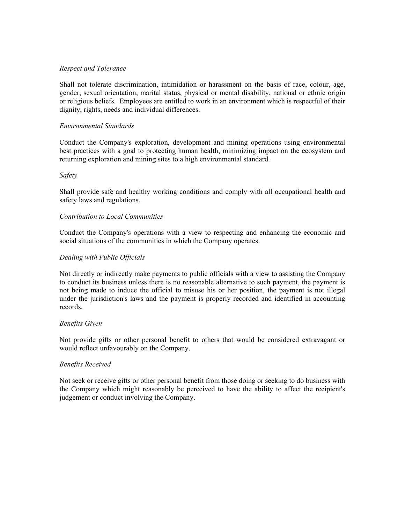### *Respect and Tolerance*

Shall not tolerate discrimination, intimidation or harassment on the basis of race, colour, age, gender, sexual orientation, marital status, physical or mental disability, national or ethnic origin or religious beliefs. Employees are entitled to work in an environment which is respectful of their dignity, rights, needs and individual differences.

### *Environmental Standards*

Conduct the Company's exploration, development and mining operations using environmental best practices with a goal to protecting human health, minimizing impact on the ecosystem and returning exploration and mining sites to a high environmental standard.

### *Safety*

Shall provide safe and healthy working conditions and comply with all occupational health and safety laws and regulations.

### *Contribution to Local Communities*

Conduct the Company's operations with a view to respecting and enhancing the economic and social situations of the communities in which the Company operates.

### *Dealing with Public Officials*

Not directly or indirectly make payments to public officials with a view to assisting the Company to conduct its business unless there is no reasonable alternative to such payment, the payment is not being made to induce the official to misuse his or her position, the payment is not illegal under the jurisdiction's laws and the payment is properly recorded and identified in accounting records.

#### *Benefits Given*

Not provide gifts or other personal benefit to others that would be considered extravagant or would reflect unfavourably on the Company.

#### *Benefits Received*

Not seek or receive gifts or other personal benefit from those doing or seeking to do business with the Company which might reasonably be perceived to have the ability to affect the recipient's judgement or conduct involving the Company.